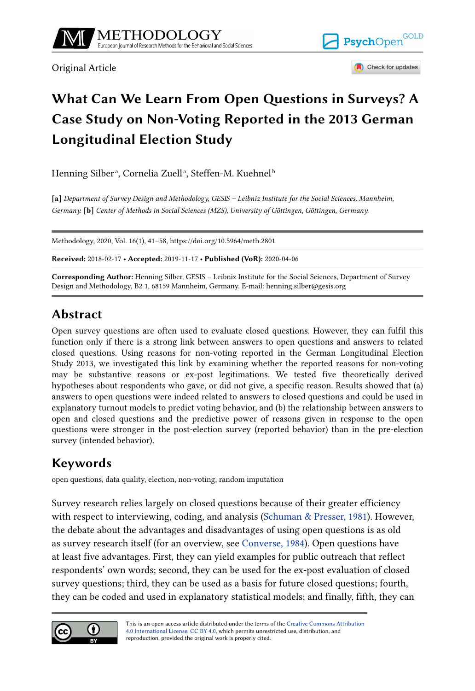

Original Article





# **What Can We Learn From Open Questions in Surveys? A Case Study on Non-Voting Reported in the 2013 German Longitudinal Election Study**

Henning Silberª, Cornelia Zuellª, Steffen-M. Kuehnel<sup>b</sup>

**[a]** *Department of Survey Design and Methodology, GESIS – Leibniz Institute for the Social Sciences, Mannheim, Germany.* **[b]** *Center of Methods in Social Sciences (MZS), University of Göttingen, Göttingen, Germany.*

Methodology, 2020, Vol. 16(1), 41–58, https://doi.org/10.5964/meth.2801

**Received:** 2018-02-17 • **Accepted:** 2019-11-17 • **Published (VoR):** 2020-04-06

**Corresponding Author:** Henning Silber, GESIS – Leibniz Institute for the Social Sciences, Department of Survey Design and Methodology, B2 1, 68159 Mannheim, Germany. E-mail: henning.silber@gesis.org

## **Abstract**

Open survey questions are often used to evaluate closed questions. However, they can fulfil this function only if there is a strong link between answers to open questions and answers to related closed questions. Using reasons for non-voting reported in the German Longitudinal Election Study 2013, we investigated this link by examining whether the reported reasons for non-voting may be substantive reasons or ex-post legitimations. We tested five theoretically derived hypotheses about respondents who gave, or did not give, a specific reason. Results showed that (a) answers to open questions were indeed related to answers to closed questions and could be used in explanatory turnout models to predict voting behavior, and (b) the relationship between answers to open and closed questions and the predictive power of reasons given in response to the open questions were stronger in the post-election survey (reported behavior) than in the pre-election survey (intended behavior).

## **Keywords**

open questions, data quality, election, non-voting, random imputation

Survey research relies largely on closed questions because of their greater efficiency with respect to interviewing, coding, and analysis ([Schuman & Presser, 1981\)](#page-16-0). However, the debate about the advantages and disadvantages of using open questions is as old as survey research itself (for an overview, see [Converse, 1984](#page-15-0)). Open questions have at least five advantages. First, they can yield examples for public outreach that reflect respondents' own words; second, they can be used for the ex-post evaluation of closed survey questions; third, they can be used as a basis for future closed questions; fourth, they can be coded and used in explanatory statistical models; and finally, fifth, they can

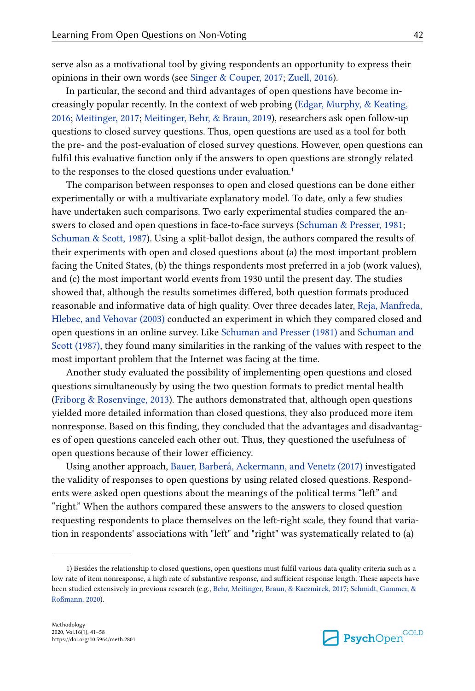serve also as a motivational tool by giving respondents an opportunity to express their opinions in their own words (see [Singer & Couper, 2017;](#page-16-0) [Zuell, 2016](#page-16-0)).

In particular, the second and third advantages of open questions have become in‐ creasingly popular recently. In the context of web probing ([Edgar, Murphy, & Keating,](#page-15-0) [2016; Meitinger, 2017](#page-15-0); [Meitinger, Behr, & Braun, 2019\)](#page-16-0), researchers ask open follow-up questions to closed survey questions. Thus, open questions are used as a tool for both the pre- and the post-evaluation of closed survey questions. However, open questions can fulfil this evaluative function only if the answers to open questions are strongly related to the responses to the closed questions under evaluation.<sup>1</sup>

The comparison between responses to open and closed questions can be done either experimentally or with a multivariate explanatory model. To date, only a few studies have undertaken such comparisons. Two early experimental studies compared the answers to closed and open questions in face-to-face surveys [\(Schuman & Presser, 1981](#page-16-0); [Schuman & Scott, 1987\)](#page-16-0). Using a split-ballot design, the authors compared the results of their experiments with open and closed questions about (a) the most important problem facing the United States, (b) the things respondents most preferred in a job (work values), and (c) the most important world events from 1930 until the present day. The studies showed that, although the results sometimes differed, both question formats produced reasonable and informative data of high quality. Over three decades later, [Reja, Manfreda,](#page-16-0) [Hlebec, and Vehovar \(2003\)](#page-16-0) conducted an experiment in which they compared closed and open questions in an online survey. Like [Schuman and Presser \(1981\)](#page-16-0) and [Schuman and](#page-16-0) [Scott \(1987\),](#page-16-0) they found many similarities in the ranking of the values with respect to the most important problem that the Internet was facing at the time.

Another study evaluated the possibility of implementing open questions and closed questions simultaneously by using the two question formats to predict mental health [\(Friborg & Rosenvinge, 2013\)](#page-15-0). The authors demonstrated that, although open questions yielded more detailed information than closed questions, they also produced more item nonresponse. Based on this finding, they concluded that the advantages and disadvantages of open questions canceled each other out. Thus, they questioned the usefulness of open questions because of their lower efficiency.

Using another approach, [Bauer, Barberá, Ackermann, and Venetz \(2017\)](#page-14-0) investigated the validity of responses to open questions by using related closed questions. Respondents were asked open questions about the meanings of the political terms "left" and "right." When the authors compared these answers to the answers to closed question requesting respondents to place themselves on the left-right scale, they found that varia‐ tion in respondents' associations with "left" and "right" was systematically related to (a)



<sup>1)</sup> Besides the relationship to closed questions, open questions must fulfil various data quality criteria such as a low rate of item nonresponse, a high rate of substantive response, and sufficient response length. These aspects have been studied extensively in previous research (e.g., [Behr, Meitinger, Braun, & Kaczmirek, 2017;](#page-15-0) [Schmidt, Gummer, &](#page-16-0) [Roßmann, 2020\)](#page-16-0).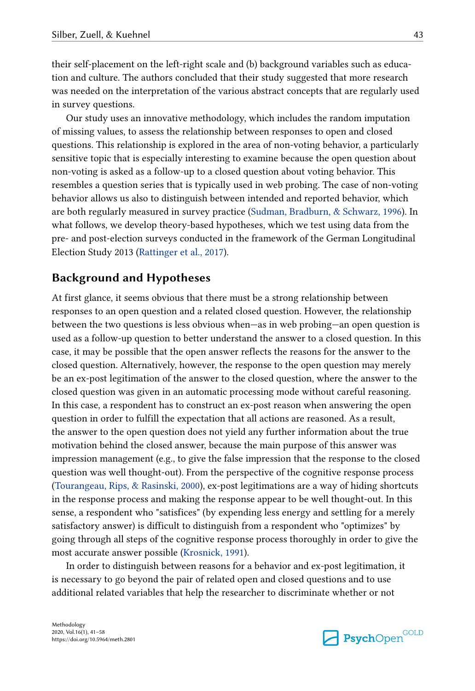their self-placement on the left-right scale and (b) background variables such as educa‐ tion and culture. The authors concluded that their study suggested that more research was needed on the interpretation of the various abstract concepts that are regularly used in survey questions.

Our study uses an innovative methodology, which includes the random imputation of missing values, to assess the relationship between responses to open and closed questions. This relationship is explored in the area of non-voting behavior, a particularly sensitive topic that is especially interesting to examine because the open question about non-voting is asked as a follow-up to a closed question about voting behavior. This resembles a question series that is typically used in web probing. The case of non-voting behavior allows us also to distinguish between intended and reported behavior, which are both regularly measured in survey practice [\(Sudman, Bradburn, & Schwarz, 1996\)](#page-16-0). In what follows, we develop theory-based hypotheses, which we test using data from the pre- and post-election surveys conducted in the framework of the German Longitudinal Election Study 2013 ([Rattinger et al., 2017](#page-14-0)).

### **Background and Hypotheses**

At first glance, it seems obvious that there must be a strong relationship between responses to an open question and a related closed question. However, the relationship between the two questions is less obvious when—as in web probing—an open question is used as a follow-up question to better understand the answer to a closed question. In this case, it may be possible that the open answer reflects the reasons for the answer to the closed question. Alternatively, however, the response to the open question may merely be an ex-post legitimation of the answer to the closed question, where the answer to the closed question was given in an automatic processing mode without careful reasoning. In this case, a respondent has to construct an ex-post reason when answering the open question in order to fulfill the expectation that all actions are reasoned. As a result, the answer to the open question does not yield any further information about the true motivation behind the closed answer, because the main purpose of this answer was impression management (e.g., to give the false impression that the response to the closed question was well thought-out). From the perspective of the cognitive response process [\(Tourangeau, Rips, & Rasinski, 2000\)](#page-16-0), ex-post legitimations are a way of hiding shortcuts in the response process and making the response appear to be well thought-out. In this sense, a respondent who "satisfices" (by expending less energy and settling for a merely satisfactory answer) is difficult to distinguish from a respondent who "optimizes" by going through all steps of the cognitive response process thoroughly in order to give the most accurate answer possible ([Krosnick, 1991](#page-15-0)).

In order to distinguish between reasons for a behavior and ex-post legitimation, it is necessary to go beyond the pair of related open and closed questions and to use additional related variables that help the researcher to discriminate whether or not

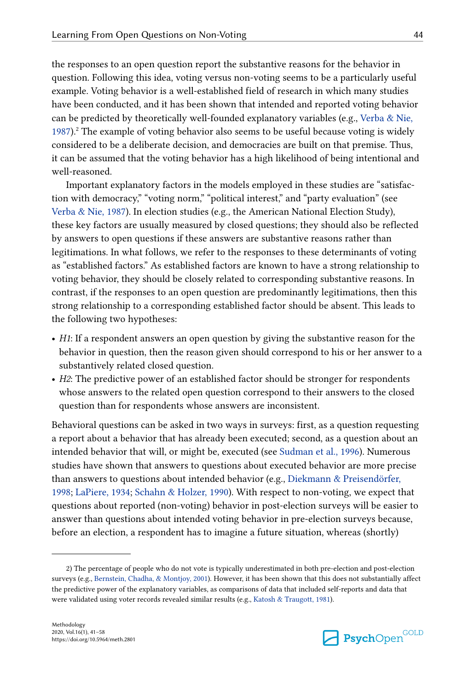the responses to an open question report the substantive reasons for the behavior in question. Following this idea, voting versus non-voting seems to be a particularly useful example. Voting behavior is a well-established field of research in which many studies have been conducted, and it has been shown that intended and reported voting behavior can be predicted by theoretically well-founded explanatory variables (e.g., [Verba & Nie,](#page-16-0) [1987\)](#page-16-0).<sup>2</sup> The example of voting behavior also seems to be useful because voting is widely considered to be a deliberate decision, and democracies are built on that premise. Thus, it can be assumed that the voting behavior has a high likelihood of being intentional and well-reasoned.

Important explanatory factors in the models employed in these studies are "satisfac‐ tion with democracy," "voting norm," "political interest," and "party evaluation" (see [Verba & Nie, 1987\)](#page-16-0). In election studies (e.g., the American National Election Study), these key factors are usually measured by closed questions; they should also be reflected by answers to open questions if these answers are substantive reasons rather than legitimations. In what follows, we refer to the responses to these determinants of voting as "established factors." As established factors are known to have a strong relationship to voting behavior, they should be closely related to corresponding substantive reasons. In contrast, if the responses to an open question are predominantly legitimations, then this strong relationship to a corresponding established factor should be absent. This leads to the following two hypotheses:

- **•** *H1*: If a respondent answers an open question by giving the substantive reason for the behavior in question, then the reason given should correspond to his or her answer to a substantively related closed question.
- **•** *H2*: The predictive power of an established factor should be stronger for respondents whose answers to the related open question correspond to their answers to the closed question than for respondents whose answers are inconsistent.

Behavioral questions can be asked in two ways in surveys: first, as a question requesting a report about a behavior that has already been executed; second, as a question about an intended behavior that will, or might be, executed (see [Sudman et al., 1996](#page-16-0)). Numerous studies have shown that answers to questions about executed behavior are more precise than answers to questions about intended behavior (e.g., [Diekmann & Preisendörfer,](#page-15-0) [1998; LaPiere, 1934](#page-15-0); [Schahn & Holzer, 1990](#page-16-0)). With respect to non-voting, we expect that questions about reported (non-voting) behavior in post-election surveys will be easier to answer than questions about intended voting behavior in pre-election surveys because, before an election, a respondent has to imagine a future situation, whereas (shortly)



<sup>2)</sup> The percentage of people who do not vote is typically underestimated in both pre-election and post-election surveys (e.g., [Bernstein, Chadha, & Montjoy, 2001\)](#page-15-0). However, it has been shown that this does not substantially affect the predictive power of the explanatory variables, as comparisons of data that included self-reports and data that were validated using voter records revealed similar results (e.g., [Katosh & Traugott, 1981](#page-15-0)).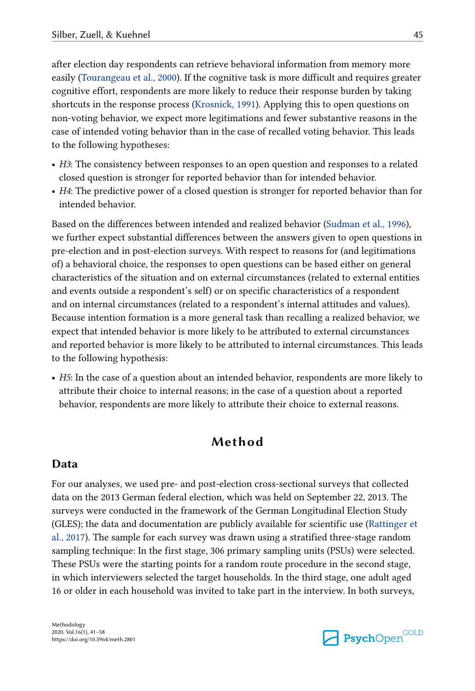after election day respondents can retrieve behavioral information from memory more easily ([Tourangeau et al., 2000](#page-16-0)). If the cognitive task is more difficult and requires greater cognitive effort, respondents are more likely to reduce their response burden by taking shortcuts in the response process [\(Krosnick, 1991\)](#page-15-0). Applying this to open questions on non-voting behavior, we expect more legitimations and fewer substantive reasons in the case of intended voting behavior than in the case of recalled voting behavior. This leads to the following hypotheses:

- **•** *H3*: The consistency between responses to an open question and responses to a related closed question is stronger for reported behavior than for intended behavior.
- **•** *H4*: The predictive power of a closed question is stronger for reported behavior than for intended behavior.

Based on the differences between intended and realized behavior ([Sudman et al., 1996](#page-16-0)), we further expect substantial differences between the answers given to open questions in pre-election and in post-election surveys. With respect to reasons for (and legitimations of) a behavioral choice, the responses to open questions can be based either on general characteristics of the situation and on external circumstances (related to external entities and events outside a respondent's self) or on specific characteristics of a respondent and on internal circumstances (related to a respondent's internal attitudes and values). Because intention formation is a more general task than recalling a realized behavior, we expect that intended behavior is more likely to be attributed to external circumstances and reported behavior is more likely to be attributed to internal circumstances. This leads to the following hypothesis:

**•** *H5*: In the case of a question about an intended behavior, respondents are more likely to attribute their choice to internal reasons; in the case of a question about a reported behavior, respondents are more likely to attribute their choice to external reasons.

## **Method**

### **Data**

For our analyses, we used pre- and post-election cross-sectional surveys that collected data on the 2013 German federal election, which was held on September 22, 2013. The surveys were conducted in the framework of the German Longitudinal Election Study (GLES); the data and documentation are publicly available for scientific use [\(Rattinger et](#page-14-0) [al., 2017\)](#page-14-0). The sample for each survey was drawn using a stratified three-stage random sampling technique: In the first stage, 306 primary sampling units (PSUs) were selected. These PSUs were the starting points for a random route procedure in the second stage, in which interviewers selected the target households. In the third stage, one adult aged 16 or older in each household was invited to take part in the interview. In both surveys,

Methodology 2020, Vol.16(1), 41–58 https://doi.org/10.5964/meth.2801

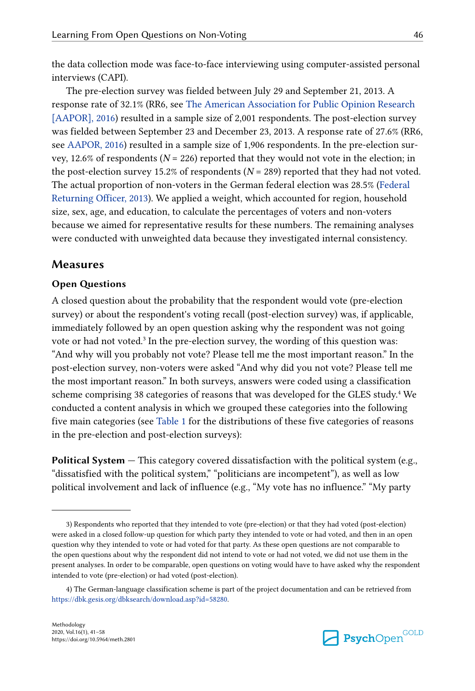the data collection mode was face-to-face interviewing using computer-assisted personal interviews (CAPI).

The pre-election survey was fielded between July 29 and September 21, 2013. A response rate of 32.1% (RR6, see [The American Association for Public Opinion Research](#page-14-0) [\[AAPOR\], 2016](#page-14-0)) resulted in a sample size of 2,001 respondents. The post-election survey was fielded between September 23 and December 23, 2013. A response rate of 27.6% (RR6, see [AAPOR, 2016\)](#page-14-0) resulted in a sample size of 1,906 respondents. In the pre-election survey, 12.6% of respondents ( $N = 226$ ) reported that they would not vote in the election; in the post-election survey 15.2% of respondents  $(N = 289)$  reported that they had not voted. The actual proportion of non-voters in the German federal election was 28.5% [\(Federal](#page-15-0) [Returning Officer, 2013\)](#page-15-0). We applied a weight, which accounted for region, household size, sex, age, and education, to calculate the percentages of voters and non-voters because we aimed for representative results for these numbers. The remaining analyses were conducted with unweighted data because they investigated internal consistency.

#### **Measures**

#### **Open Questions**

A closed question about the probability that the respondent would vote (pre-election survey) or about the respondent's voting recall (post-election survey) was, if applicable, immediately followed by an open question asking why the respondent was not going vote or had not voted.<sup>3</sup> In the pre-election survey, the wording of this question was: "And why will you probably not vote? Please tell me the most important reason." In the post-election survey, non-voters were asked "And why did you not vote? Please tell me the most important reason." In both surveys, answers were coded using a classification scheme comprising 38 categories of reasons that was developed for the GLES study.<sup>4</sup> We conducted a content analysis in which we grouped these categories into the following five main categories (see [Table 1](#page-6-0) for the distributions of these five categories of reasons in the pre-election and post-election surveys):

**Political System** — This category covered dissatisfaction with the political system (e.g., "dissatisfied with the political system," "politicians are incompetent"), as well as low political involvement and lack of influence (e.g., "My vote has no influence." "My party



<sup>3)</sup> Respondents who reported that they intended to vote (pre-election) or that they had voted (post-election) were asked in a closed follow-up question for which party they intended to vote or had voted, and then in an open question why they intended to vote or had voted for that party. As these open questions are not comparable to the open questions about why the respondent did not intend to vote or had not voted, we did not use them in the present analyses. In order to be comparable, open questions on voting would have to have asked why the respondent intended to vote (pre-election) or had voted (post-election).

<sup>4)</sup> The German-language classification scheme is part of the project documentation and can be retrieved from <https://dbk.gesis.org/dbksearch/download.asp?id=58280>.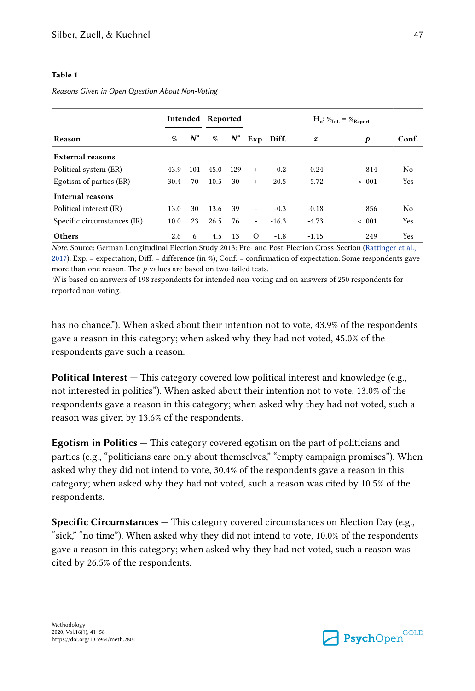#### <span id="page-6-0"></span>**Table 1**

*Reasons Given in Open Question About Non-Voting*

|                             |      |             | Intended Reported |     |                          |            | $H_o: \%_{Int.} = \%_{Report}$ |         |       |
|-----------------------------|------|-------------|-------------------|-----|--------------------------|------------|--------------------------------|---------|-------|
| Reason                      | %    | $N^{\rm a}$ | $N^{\rm a}$<br>%  |     |                          | Exp. Diff. | $\boldsymbol{z}$               | p       | Conf. |
| <b>External reasons</b>     |      |             |                   |     |                          |            |                                |         |       |
| Political system (ER)       | 43.9 | 101         | 45.0              | 129 | $+$                      | $-0.2$     | $-0.24$                        | .814    | No    |
| Egotism of parties (ER)     | 30.4 | 70          | 10.5              | 30  | $+$                      | 20.5       | 5.72                           | < .001  | Yes   |
| Internal reasons            |      |             |                   |     |                          |            |                                |         |       |
| Political interest (IR)     | 13.0 | 30          | 13.6 39           |     | $\blacksquare$           | $-0.3$     | $-0.18$                        | .856    | No    |
| Specific circumstances (IR) | 10.0 | 23          | 26.5              | 76  | $\overline{\phantom{a}}$ | $-16.3$    | $-4.73$                        | $-.001$ | Yes   |
| <b>Others</b>               | 2.6  | 6           | 4.5               | 13  | $\Omega$                 | $-1.8$     | $-1.15$                        | .249    | Yes   |

*Note.* Source: German Longitudinal Election Study 2013: Pre- and Post-Election Cross-Section [\(Rattinger et al.,](#page-14-0) [2017\)](#page-14-0). Exp. = expectation; Diff. = difference (in %); Conf. = confirmation of expectation. Some respondents gave more than one reason. The *p*-values are based on two-tailed tests.

<sup>a</sup>N is based on answers of 198 respondents for intended non-voting and on answers of 250 respondents for reported non-voting.

has no chance."). When asked about their intention not to vote, 43.9% of the respondents gave a reason in this category; when asked why they had not voted, 45.0% of the respondents gave such a reason.

**Political Interest —** This category covered low political interest and knowledge (e.g., not interested in politics"). When asked about their intention not to vote, 13.0% of the respondents gave a reason in this category; when asked why they had not voted, such a reason was given by 13.6% of the respondents.

**Egotism in Politics —** This category covered egotism on the part of politicians and parties (e.g., "politicians care only about themselves," "empty campaign promises"). When asked why they did not intend to vote, 30.4% of the respondents gave a reason in this category; when asked why they had not voted, such a reason was cited by 10.5% of the respondents.

**Specific Circumstances —** This category covered circumstances on Election Day (e.g., "sick," "no time"). When asked why they did not intend to vote, 10.0% of the respondents gave a reason in this category; when asked why they had not voted, such a reason was cited by 26.5% of the respondents.

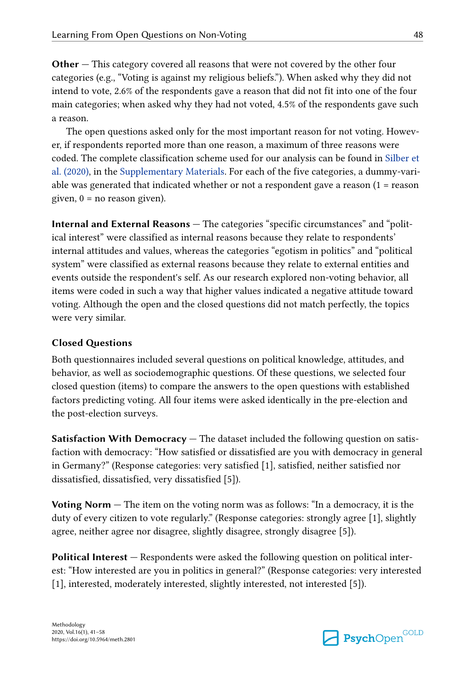**Other —** This category covered all reasons that were not covered by the other four categories (e.g., "Voting is against my religious beliefs."). When asked why they did not intend to vote, 2.6% of the respondents gave a reason that did not fit into one of the four main categories; when asked why they had not voted, 4.5% of the respondents gave such a reason.

The open questions asked only for the most important reason for not voting. However, if respondents reported more than one reason, a maximum of three reasons were coded. The complete classification scheme used for our analysis can be found in [Silber et](#page-14-0) [al. \(2020\)](#page-14-0), in the [Supplementary Materials](#page-14-0). For each of the five categories, a dummy-variable was generated that indicated whether or not a respondent gave a reason  $(1 =$  reason given,  $0 = no$  reason given).

**Internal and External Reasons —** The categories "specific circumstances" and "polit‐ ical interest" were classified as internal reasons because they relate to respondents' internal attitudes and values, whereas the categories "egotism in politics" and "political system" were classified as external reasons because they relate to external entities and events outside the respondent's self. As our research explored non-voting behavior, all items were coded in such a way that higher values indicated a negative attitude toward voting. Although the open and the closed questions did not match perfectly, the topics were very similar.

#### **Closed Questions**

Both questionnaires included several questions on political knowledge, attitudes, and behavior, as well as sociodemographic questions. Of these questions, we selected four closed question (items) to compare the answers to the open questions with established factors predicting voting. All four items were asked identically in the pre-election and the post-election surveys.

**Satisfaction With Democracy —** The dataset included the following question on satis‐ faction with democracy: "How satisfied or dissatisfied are you with democracy in general in Germany?" (Response categories: very satisfied [1], satisfied, neither satisfied nor dissatisfied, dissatisfied, very dissatisfied [5]).

**Voting Norm —** The item on the voting norm was as follows: "In a democracy, it is the duty of every citizen to vote regularly." (Response categories: strongly agree [1], slightly agree, neither agree nor disagree, slightly disagree, strongly disagree [5]).

**Political Interest —** Respondents were asked the following question on political inter‐ est: "How interested are you in politics in general?" (Response categories: very interested [1], interested, moderately interested, slightly interested, not interested [5]).

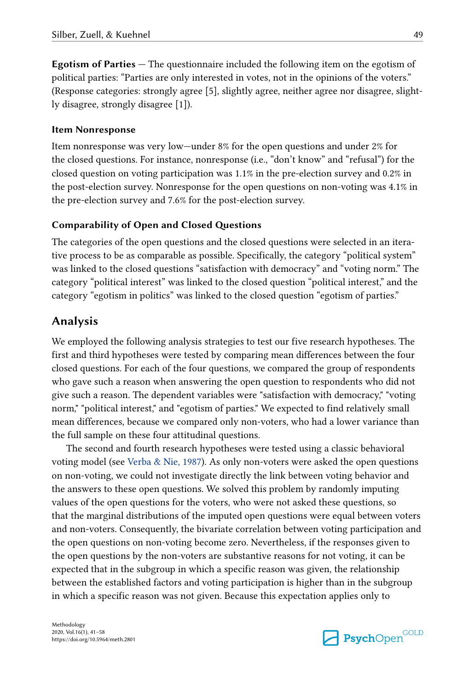**Egotism of Parties —** The questionnaire included the following item on the egotism of political parties: "Parties are only interested in votes, not in the opinions of the voters." (Response categories: strongly agree [5], slightly agree, neither agree nor disagree, slight‐ ly disagree, strongly disagree [1]).

#### **Item Nonresponse**

Item nonresponse was very low—under 8% for the open questions and under 2% for the closed questions. For instance, nonresponse (i.e., "don't know" and "refusal") for the closed question on voting participation was 1.1% in the pre-election survey and 0.2% in the post-election survey. Nonresponse for the open questions on non-voting was 4.1% in the pre-election survey and 7.6% for the post-election survey.

#### **Comparability of Open and Closed Questions**

The categories of the open questions and the closed questions were selected in an iterative process to be as comparable as possible. Specifically, the category "political system" was linked to the closed questions "satisfaction with democracy" and "voting norm." The category "political interest" was linked to the closed question "political interest," and the category "egotism in politics" was linked to the closed question "egotism of parties."

### **Analysis**

We employed the following analysis strategies to test our five research hypotheses. The first and third hypotheses were tested by comparing mean differences between the four closed questions. For each of the four questions, we compared the group of respondents who gave such a reason when answering the open question to respondents who did not give such a reason. The dependent variables were "satisfaction with democracy," "voting norm," "political interest," and "egotism of parties." We expected to find relatively small mean differences, because we compared only non-voters, who had a lower variance than the full sample on these four attitudinal questions.

The second and fourth research hypotheses were tested using a classic behavioral voting model (see [Verba & Nie, 1987\)](#page-16-0). As only non-voters were asked the open questions on non-voting, we could not investigate directly the link between voting behavior and the answers to these open questions. We solved this problem by randomly imputing values of the open questions for the voters, who were not asked these questions, so that the marginal distributions of the imputed open questions were equal between voters and non-voters. Consequently, the bivariate correlation between voting participation and the open questions on non-voting become zero. Nevertheless, if the responses given to the open questions by the non-voters are substantive reasons for not voting, it can be expected that in the subgroup in which a specific reason was given, the relationship between the established factors and voting participation is higher than in the subgroup in which a specific reason was not given. Because this expectation applies only to

Methodology 2020, Vol.16(1), 41–58 https://doi.org/10.5964/meth.2801

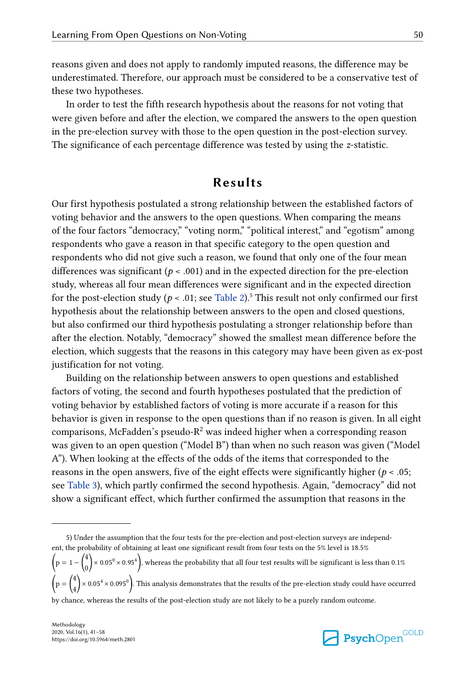reasons given and does not apply to randomly imputed reasons, the difference may be underestimated. Therefore, our approach must be considered to be a conservative test of these two hypotheses.

In order to test the fifth research hypothesis about the reasons for not voting that were given before and after the election, we compared the answers to the open question in the pre-election survey with those to the open question in the post-election survey. The significance of each percentage difference was tested by using the *z*-statistic.

## **Results**

Our first hypothesis postulated a strong relationship between the established factors of voting behavior and the answers to the open questions. When comparing the means of the four factors "democracy," "voting norm," "political interest," and "egotism" among respondents who gave a reason in that specific category to the open question and respondents who did not give such a reason, we found that only one of the four mean differences was significant ( $p < .001$ ) and in the expected direction for the pre-election study, whereas all four mean differences were significant and in the expected direction for the post-election study ( $p < .01$ ; see [Table 2\)](#page-10-0).<sup>5</sup> This result not only confirmed our first hypothesis about the relationship between answers to the open and closed questions, but also confirmed our third hypothesis postulating a stronger relationship before than after the election. Notably, "democracy" showed the smallest mean difference before the election, which suggests that the reasons in this category may have been given as ex-post justification for not voting.

Building on the relationship between answers to open questions and established factors of voting, the second and fourth hypotheses postulated that the prediction of voting behavior by established factors of voting is more accurate if a reason for this behavior is given in response to the open questions than if no reason is given. In all eight comparisons, McFadden's pseudo- $R^2$  was indeed higher when a corresponding reason was given to an open question ("Model B") than when no such reason was given ("Model A"). When looking at the effects of the odds of the items that corresponded to the reasons in the open answers, five of the eight effects were significantly higher ( $p < .05$ ; see [Table 3\)](#page-11-0), which partly confirmed the second hypothesis. Again, "democracy" did not show a significant effect, which further confirmed the assumption that reasons in the



<sup>5)</sup> Under the assumption that the four tests for the pre-election and post-election surveys are independ‐ ent, the probability of obtaining at least one significant result from four tests on the 5% level is 18.5%  $p = 1 - \binom{4}{3}$  $\binom{4}{0}$   $\times$  0.05<sup>0</sup>  $\times$  0.95<sup>4</sup>), whereas the probability that all four test results will be significant is less than 0.1%  $p = \begin{pmatrix} 4 \\ 1 \end{pmatrix}$  $\binom{4}{4}$   $\times$  0.05<sup>4</sup>  $\times$  0.095<sup>0</sup>). This analysis demonstrates that the results of the pre-election study could have occurred by chance, whereas the results of the post-election study are not likely to be a purely random outcome.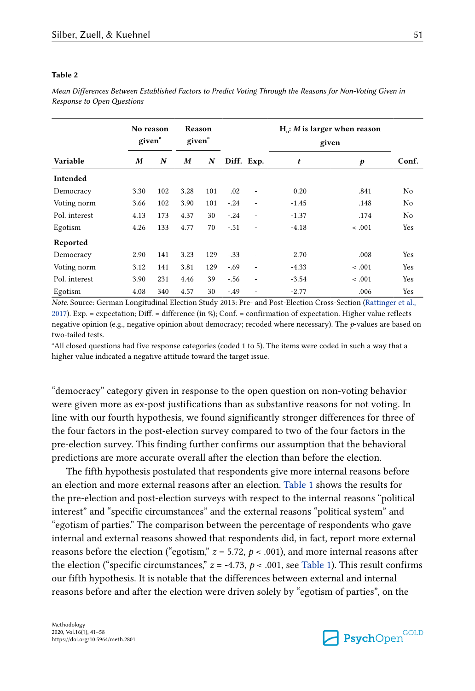#### <span id="page-10-0"></span>**Table 2**

*Mean Differences Between Established Factors to Predict Voting Through the Reasons for Non-Voting Given in Response to Open Questions*

| No reason<br>given <sup>a</sup> |      |     | Reason<br>given <sup>a</sup> |     |        |                          | $Ha$ : <i>M</i> is larger when reason<br>given |                  |                |
|---------------------------------|------|-----|------------------------------|-----|--------|--------------------------|------------------------------------------------|------------------|----------------|
| Variable                        | M    | N   | M                            | N   |        | Diff. Exp.               | t                                              | $\boldsymbol{p}$ | Conf.          |
| Intended                        |      |     |                              |     |        |                          |                                                |                  |                |
| Democracy                       | 3.30 | 102 | 3.28                         | 101 | .02    | $\overline{\phantom{a}}$ | 0.20                                           | .841             | No             |
| Voting norm                     | 3.66 | 102 | 3.90                         | 101 | $-.24$ | $\overline{\phantom{m}}$ | $-1.45$                                        | .148             | No             |
| Pol. interest                   | 4.13 | 173 | 4.37                         | 30  | $-.24$ | $\overline{\phantom{a}}$ | $-1.37$                                        | .174             | N <sub>0</sub> |
| Egotism                         | 4.26 | 133 | 4.77                         | 70  | $-.51$ | $\overline{\phantom{a}}$ | $-4.18$                                        | $-.001$          | Yes            |
| Reported                        |      |     |                              |     |        |                          |                                                |                  |                |
| Democracy                       | 2.90 | 141 | 3.23                         | 129 | $-.33$ | $\overline{\phantom{a}}$ | $-2.70$                                        | .008             | Yes            |
| Voting norm                     | 3.12 | 141 | 3.81                         | 129 | $-.69$ | $\overline{\phantom{a}}$ | $-4.33$                                        | $-.001$          | Yes            |
| Pol. interest                   | 3.90 | 231 | 4.46                         | 39  | $-.56$ | $\overline{\phantom{a}}$ | $-3.54$                                        | $-.001$          | Yes            |
| Egotism                         | 4.08 | 340 | 4.57                         | 30  | $-.49$ | $\overline{\phantom{m}}$ | $-2.77$                                        | .006             | Yes            |

*Note.* Source: German Longitudinal Election Study 2013: Pre- and Post-Election Cross-Section [\(Rattinger et al.,](#page-14-0) [2017\)](#page-14-0). Exp. = expectation; Diff. = difference (in %); Conf. = confirmation of expectation. Higher value reflects negative opinion (e.g., negative opinion about democracy; recoded where necessary). The *p*-values are based on two-tailed tests.

<sup>a</sup>All closed questions had five response categories (coded 1 to 5). The items were coded in such a way that a higher value indicated a negative attitude toward the target issue.

"democracy" category given in response to the open question on non-voting behavior were given more as ex-post justifications than as substantive reasons for not voting. In line with our fourth hypothesis, we found significantly stronger differences for three of the four factors in the post-election survey compared to two of the four factors in the pre-election survey. This finding further confirms our assumption that the behavioral predictions are more accurate overall after the election than before the election.

The fifth hypothesis postulated that respondents give more internal reasons before an election and more external reasons after an election. [Table 1](#page-6-0) shows the results for the pre-election and post-election surveys with respect to the internal reasons "political interest" and "specific circumstances" and the external reasons "political system" and "egotism of parties." The comparison between the percentage of respondents who gave internal and external reasons showed that respondents did, in fact, report more external reasons before the election ("egotism,"  $z = 5.72$ ,  $p < .001$ ), and more internal reasons after the election ("specific circumstances,"  $z = -4.73$ ,  $p < .001$ , see [Table 1\)](#page-6-0). This result confirms our fifth hypothesis. It is notable that the differences between external and internal reasons before and after the election were driven solely by "egotism of parties", on the

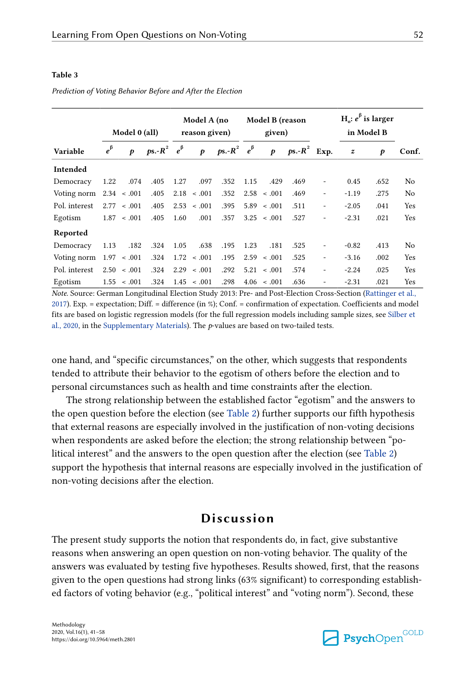#### <span id="page-11-0"></span>**Table 3**

|               |             | Model 0 (all)    |                                     | Model A (no<br>reason given) |                  |                        | Model B (reason<br>given) |                  |                | $H$ : $e^{\beta}$ is larger<br>in Model B |                  |      |       |
|---------------|-------------|------------------|-------------------------------------|------------------------------|------------------|------------------------|---------------------------|------------------|----------------|-------------------------------------------|------------------|------|-------|
| Variable      | $e^{\beta}$ | p                | $p\mathbf{s} - R^2 \quad e^{\beta}$ |                              | $\boldsymbol{p}$ | ps.- $R^2$ $e^{\beta}$ |                           | $\boldsymbol{p}$ | $ps.-R^2$ Exp. |                                           | $\boldsymbol{z}$ | p    | Conf. |
| Intended      |             |                  |                                     |                              |                  |                        |                           |                  |                |                                           |                  |      |       |
| Democracy     | 1.22        | .074             | .405                                | 1.27                         | .097             | .352                   | 1.15                      | .429             | .469           | ۰                                         | 0.45             | .652 | No    |
| Voting norm   |             | $2.34 \div .001$ | .405                                |                              | $2.18 \div .001$ | .352                   |                           | $2.58 \div .001$ | .469           | ۰                                         | $-1.19$          | .275 | No    |
| Pol. interest | 2.77        | < .001           | .405                                | 2.53                         | < .001           | .395                   | 5.89                      | $-.001$          | .511           | ۰                                         | $-2.05$          | .041 | Yes   |
| Egotism       | 1.87        | $-.001$          | .405                                | 1.60                         | .001             | .357                   | 3.25                      | $\leq .001$      | .527           | ۰                                         | $-2.31$          | .021 | Yes   |
| Reported      |             |                  |                                     |                              |                  |                        |                           |                  |                |                                           |                  |      |       |
| Democracy     | 1.13        | .182             | .324                                | 1.05                         | .638             | .195                   | 1.23                      | .181             | .525           |                                           | $-0.82$          | .413 | No    |
| Voting norm   | 1.97        | $-.001$          | .324                                | 1.72                         | $-.001$          | .195                   | 2.59                      | $-.001$          | .525           | ۰                                         | $-3.16$          | .002 | Yes   |
| Pol. interest | 2.50        | < .001           | .324                                |                              | $2.29 \div .001$ | .292                   | 5.21                      | < .001           | .574           | ۰                                         | $-2.24$          | .025 | Yes   |
| Egotism       | 1.55        | $-.001$          | .324                                | 1.45                         | $-.001$          | .298                   | 4.06                      | < 0.01           | .636           | ۰                                         | $-2.31$          | .021 | Yes   |

*Prediction of Voting Behavior Before and After the Election*

*Note*. Source: German Longitudinal Election Study 2013: Pre- and Post-Election Cross-Section [\(Rattinger et al.,](#page-14-0) [2017\)](#page-14-0). Exp. = expectation; Diff. = difference (in %); Conf. = confirmation of expectation. Coefficients and model fits are based on logistic regression models (for the full regression models including sample sizes, see [Silber et](#page-14-0) [al., 2020](#page-14-0), in the [Supplementary Materials](#page-14-0)). The *p*-values are based on two-tailed tests.

one hand, and "specific circumstances," on the other, which suggests that respondents tended to attribute their behavior to the egotism of others before the election and to personal circumstances such as health and time constraints after the election.

The strong relationship between the established factor "egotism" and the answers to the open question before the election (see [Table 2\)](#page-10-0) further supports our fifth hypothesis that external reasons are especially involved in the justification of non-voting decisions when respondents are asked before the election; the strong relationship between "political interest" and the answers to the open question after the election (see [Table 2](#page-10-0)) support the hypothesis that internal reasons are especially involved in the justification of non-voting decisions after the election.

## **Discussion**

The present study supports the notion that respondents do, in fact, give substantive reasons when answering an open question on non-voting behavior. The quality of the answers was evaluated by testing five hypotheses. Results showed, first, that the reasons given to the open questions had strong links (63% significant) to corresponding established factors of voting behavior (e.g., "political interest" and "voting norm"). Second, these

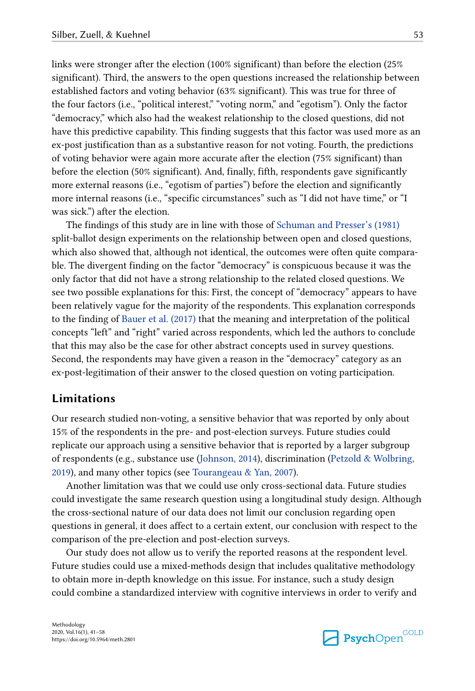links were stronger after the election (100% significant) than before the election (25% significant). Third, the answers to the open questions increased the relationship between established factors and voting behavior (63% significant). This was true for three of the four factors (i.e., "political interest," "voting norm," and "egotism"). Only the factor "democracy," which also had the weakest relationship to the closed questions, did not have this predictive capability. This finding suggests that this factor was used more as an ex-post justification than as a substantive reason for not voting. Fourth, the predictions of voting behavior were again more accurate after the election (75% significant) than before the election (50% significant). And, finally, fifth, respondents gave significantly more external reasons (i.e., "egotism of parties") before the election and significantly more internal reasons (i.e., "specific circumstances" such as "I did not have time," or "I was sick.") after the election.

The findings of this study are in line with those of [Schuman and Presser's \(1981\)](#page-16-0) split-ballot design experiments on the relationship between open and closed questions, which also showed that, although not identical, the outcomes were often quite comparable. The divergent finding on the factor "democracy" is conspicuous because it was the only factor that did not have a strong relationship to the related closed questions. We see two possible explanations for this: First, the concept of "democracy" appears to have been relatively vague for the majority of the respondents. This explanation corresponds to the finding of [Bauer et al. \(2017\)](#page-14-0) that the meaning and interpretation of the political concepts "left" and "right" varied across respondents, which led the authors to conclude that this may also be the case for other abstract concepts used in survey questions. Second, the respondents may have given a reason in the "democracy" category as an ex-post-legitimation of their answer to the closed question on voting participation.

### **Limitations**

Our research studied non-voting, a sensitive behavior that was reported by only about 15% of the respondents in the pre- and post-election surveys. Future studies could replicate our approach using a sensitive behavior that is reported by a larger subgroup of respondents (e.g., substance use ([Johnson, 2014\)](#page-15-0), discrimination ([Petzold & Wolbring,](#page-16-0) [2019\)](#page-16-0), and many other topics (see [Tourangeau & Yan, 2007\)](#page-16-0).

Another limitation was that we could use only cross-sectional data. Future studies could investigate the same research question using a longitudinal study design. Although the cross-sectional nature of our data does not limit our conclusion regarding open questions in general, it does affect to a certain extent, our conclusion with respect to the comparison of the pre-election and post-election surveys.

Our study does not allow us to verify the reported reasons at the respondent level. Future studies could use a mixed-methods design that includes qualitative methodology to obtain more in-depth knowledge on this issue. For instance, such a study design could combine a standardized interview with cognitive interviews in order to verify and

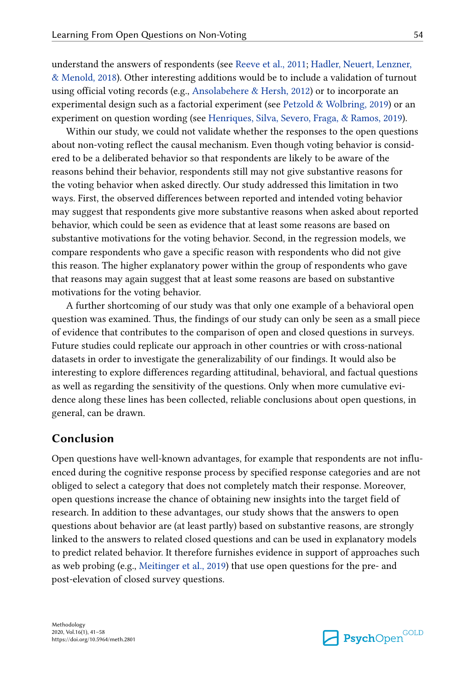understand the answers of respondents (see [Reeve et al., 2011;](#page-16-0) [Hadler, Neuert, Lenzner,](#page-15-0) [& Menold, 2018\)](#page-15-0). Other interesting additions would be to include a validation of turnout using official voting records (e.g., [Ansolabehere & Hersh, 2012](#page-14-0)) or to incorporate an experimental design such as a factorial experiment (see [Petzold & Wolbring, 2019\)](#page-16-0) or an experiment on question wording (see [Henriques, Silva, Severo, Fraga, & Ramos, 2019](#page-15-0)).

Within our study, we could not validate whether the responses to the open questions about non-voting reflect the causal mechanism. Even though voting behavior is consid‐ ered to be a deliberated behavior so that respondents are likely to be aware of the reasons behind their behavior, respondents still may not give substantive reasons for the voting behavior when asked directly. Our study addressed this limitation in two ways. First, the observed differences between reported and intended voting behavior may suggest that respondents give more substantive reasons when asked about reported behavior, which could be seen as evidence that at least some reasons are based on substantive motivations for the voting behavior. Second, in the regression models, we compare respondents who gave a specific reason with respondents who did not give this reason. The higher explanatory power within the group of respondents who gave that reasons may again suggest that at least some reasons are based on substantive motivations for the voting behavior.

A further shortcoming of our study was that only one example of a behavioral open question was examined. Thus, the findings of our study can only be seen as a small piece of evidence that contributes to the comparison of open and closed questions in surveys. Future studies could replicate our approach in other countries or with cross-national datasets in order to investigate the generalizability of our findings. It would also be interesting to explore differences regarding attitudinal, behavioral, and factual questions as well as regarding the sensitivity of the questions. Only when more cumulative evidence along these lines has been collected, reliable conclusions about open questions, in general, can be drawn.

## **Conclusion**

Open questions have well-known advantages, for example that respondents are not influenced during the cognitive response process by specified response categories and are not obliged to select a category that does not completely match their response. Moreover, open questions increase the chance of obtaining new insights into the target field of research. In addition to these advantages, our study shows that the answers to open questions about behavior are (at least partly) based on substantive reasons, are strongly linked to the answers to related closed questions and can be used in explanatory models to predict related behavior. It therefore furnishes evidence in support of approaches such as web probing (e.g., [Meitinger et al., 2019](#page-16-0)) that use open questions for the pre- and post-elevation of closed survey questions.

Methodology 2020, Vol.16(1), 41–58 https://doi.org/10.5964/meth.2801

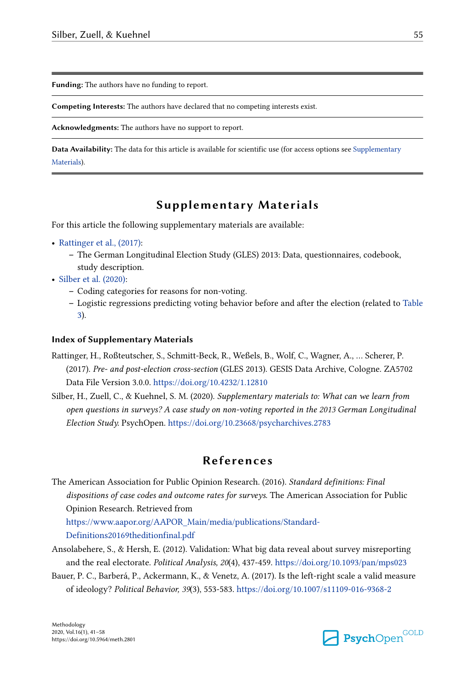<span id="page-14-0"></span>**Funding:** The authors have no funding to report.

**Competing Interests:** The authors have declared that no competing interests exist.

**Acknowledgments:** The authors have no support to report.

**Data Availability:** The data for this article is available for scientific use (for access options see Supplementary Materials).

## **Supplementary Materials**

For this article the following supplementary materials are available:

- **•** Rattinger et al., (2017):
	- **–** The German Longitudinal Election Study (GLES) 2013: Data, questionnaires, codebook, study description.
- **•** Silber et al. (2020):
	- **–** Coding categories for reasons for non-voting.
	- **–** Logistic regressions predicting voting behavior before and after the election (related to [Table](#page-11-0) [3](#page-11-0)).

#### **Index of Supplementary Materials**

- Rattinger, H., Roßteutscher, S., Schmitt-Beck, R., Weßels, B., Wolf, C., Wagner, A., … Scherer, P. (2017). *Pre- and post-election cross-section* (GLES 2013). GESIS Data Archive, Cologne. ZA5702 Data File Version 3.0.0.<https://doi.org/10.4232/1.12810>
- Silber, H., Zuell, C., & Kuehnel, S. M. (2020). *Supplementary materials to: What can we learn from open questions in surveys? A case study on non-voting reported in the 2013 German Longitudinal Election Study.* PsychOpen. <https://doi.org/10.23668/psycharchives.2783>

## **References**

The American Association for Public Opinion Research. (2016). *Standard definitions: Final dispositions of case codes and outcome rates for surveys*. The American Association for Public Opinion Research. Retrieved from

[https://www.aapor.org/AAPOR\\_Main/media/publications/Standard-](https://www.aapor.org/AAPOR_Main/media/publications/Standard-Definitions20169theditionfinal.pdf)

[Definitions20169theditionfinal.pdf](https://www.aapor.org/AAPOR_Main/media/publications/Standard-Definitions20169theditionfinal.pdf)

- Ansolabehere, S., & Hersh, E. (2012). Validation: What big data reveal about survey misreporting and the real electorate. *Political Analysis, 20*(4), 437-459.<https://doi.org/10.1093/pan/mps023>
- Bauer, P. C., Barberá, P., Ackermann, K., & Venetz, A. (2017). Is the left-right scale a valid measure of ideology? *Political Behavior, 39*(3), 553-583.<https://doi.org/10.1007/s11109-016-9368-2>

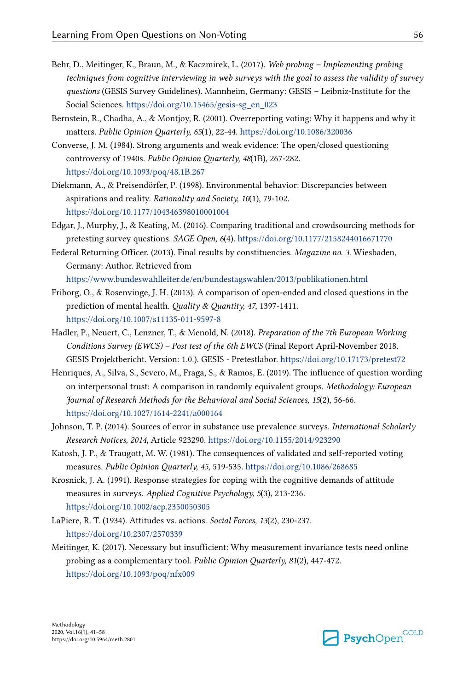- <span id="page-15-0"></span>Behr, D., Meitinger, K., Braun, M., & Kaczmirek, L. (2017). *Web probing – Implementing probing techniques from cognitive interviewing in web surveys with the goal to assess the validity of survey questions* (GESIS Survey Guidelines). Mannheim, Germany: GESIS – Leibniz-Institute for the Social Sciences. [https://doi.org/10.15465/gesis-sg\\_en\\_023](https://doi.org/10.15465/gesis-sg_en_023)
- Bernstein, R., Chadha, A., & Montjoy, R. (2001). Overreporting voting: Why it happens and why it matters. *Public Opinion Quarterly, 65*(1), 22-44. <https://doi.org/10.1086/320036>
- Converse, J. M. (1984). Strong arguments and weak evidence: The open/closed questioning controversy of 1940s. *Public Opinion Quarterly, 48*(1B), 267-282. <https://doi.org/10.1093/poq/48.1B.267>
- Diekmann, A., & Preisendörfer, P. (1998). Environmental behavior: Discrepancies between aspirations and reality. *Rationality and Society, 10*(1), 79-102. <https://doi.org/10.1177/104346398010001004>
- Edgar, J., Murphy, J., & Keating, M. (2016). Comparing traditional and crowdsourcing methods for pretesting survey questions. *SAGE Open, 6*(4).<https://doi.org/10.1177/2158244016671770>
- Federal Returning Officer. (2013). Final results by constituencies. *Magazine no. 3*. Wiesbaden, Germany: Author. Retrieved from

<https://www.bundeswahlleiter.de/en/bundestagswahlen/2013/publikationen.html>

- Friborg, O., & Rosenvinge, J. H. (2013). A comparison of open-ended and closed questions in the prediction of mental health. *Quality & Quantity, 47*, 1397-1411. <https://doi.org/10.1007/s11135-011-9597-8>
- Hadler, P., Neuert, C., Lenzner, T., & Menold, N. (2018). *Preparation of the 7th European Working Conditions Survey (EWCS) – Post test of the 6th EWCS* (Final Report April-November 2018. GESIS Projektbericht. Version: 1.0.). GESIS - Pretestlabor.<https://doi.org/10.17173/pretest72>
- Henriques, A., Silva, S., Severo, M., Fraga, S., & Ramos, E. (2019). The influence of question wording on interpersonal trust: A comparison in randomly equivalent groups. *Methodology: European Journal of Research Methods for the Behavioral and Social Sciences, 15*(2), 56-66. <https://doi.org/10.1027/1614-2241/a000164>
- Johnson, T. P. (2014). Sources of error in substance use prevalence surveys. *International Scholarly Research Notices, 2014*, Article 923290.<https://doi.org/10.1155/2014/923290>
- Katosh, J. P., & Traugott, M. W. (1981). The consequences of validated and self-reported voting measures. *Public Opinion Quarterly, 45*, 519-535. <https://doi.org/10.1086/268685>
- Krosnick, J. A. (1991). Response strategies for coping with the cognitive demands of attitude measures in surveys. *Applied Cognitive Psychology, 5*(3), 213-236. <https://doi.org/10.1002/acp.2350050305>
- LaPiere, R. T. (1934). Attitudes vs. actions. *Social Forces, 13*(2), 230-237. <https://doi.org/10.2307/2570339>
- Meitinger, K. (2017). Necessary but insufficient: Why measurement invariance tests need online probing as a complementary tool. *Public Opinion Quarterly, 81*(2), 447-472. <https://doi.org/10.1093/poq/nfx009>

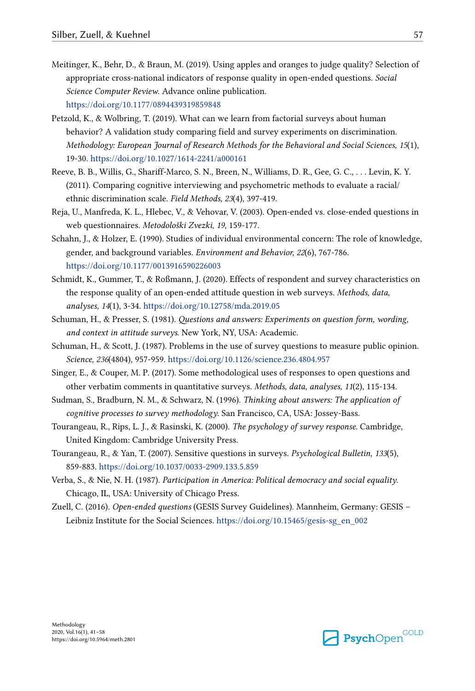- <span id="page-16-0"></span>Meitinger, K., Behr, D., & Braun, M. (2019). Using apples and oranges to judge quality? Selection of appropriate cross-national indicators of response quality in open-ended questions. *Social Science Computer Review*. Advance online publication. <https://doi.org/10.1177/0894439319859848>
- Petzold, K., & Wolbring, T. (2019). What can we learn from factorial surveys about human behavior? A validation study comparing field and survey experiments on discrimination. *Methodology: European Journal of Research Methods for the Behavioral and Social Sciences, 15*(1), 19-30.<https://doi.org/10.1027/1614-2241/a000161>
- Reeve, B. B., Willis, G., Shariff-Marco, S. N., Breen, N., Williams, D. R., Gee, G. C., . . . Levin, K. Y. (2011). Comparing cognitive interviewing and psychometric methods to evaluate a racial/ ethnic discrimination scale. *Field Methods, 23*(4), 397-419.
- Reja, U., Manfreda, K. L., Hlebec, V., & Vehovar, V. (2003). Open-ended vs. close-ended questions in web questionnaires. *Metodološki Zvezki, 19*, 159-177.
- Schahn, J., & Holzer, E. (1990). Studies of individual environmental concern: The role of knowledge, gender, and background variables. *Environment and Behavior, 22*(6), 767-786. <https://doi.org/10.1177/0013916590226003>
- Schmidt, K., Gummer, T., & Roßmann, J. (2020). Effects of respondent and survey characteristics on the response quality of an open-ended attitude question in web surveys. *Methods, data, analyses, 14*(1), 3-34.<https://doi.org/10.12758/mda.2019.05>
- Schuman, H., & Presser, S. (1981). *Questions and answers: Experiments on question form, wording, and context in attitude surveys*. New York, NY, USA: Academic.
- Schuman, H., & Scott, J. (1987). Problems in the use of survey questions to measure public opinion. *Science, 236*(4804), 957-959.<https://doi.org/10.1126/science.236.4804.957>
- Singer, E., & Couper, M. P. (2017). Some methodological uses of responses to open questions and other verbatim comments in quantitative surveys. *Methods, data, analyses, 11*(2), 115-134.
- Sudman, S., Bradburn, N. M., & Schwarz, N. (1996). *Thinking about answers: The application of cognitive processes to survey methodology*. San Francisco, CA, USA: Jossey-Bass.
- Tourangeau, R., Rips, L. J., & Rasinski, K. (2000). *The psychology of survey response*. Cambridge, United Kingdom: Cambridge University Press.
- Tourangeau, R., & Yan, T. (2007). Sensitive questions in surveys. *Psychological Bulletin, 133*(5), 859-883. <https://doi.org/10.1037/0033-2909.133.5.859>
- Verba, S., & Nie, N. H. (1987). *Participation in America: Political democracy and social equality*. Chicago, IL, USA: University of Chicago Press.
- Zuell, C. (2016). *Open-ended questions* (GESIS Survey Guidelines). Mannheim, Germany: GESIS Leibniz Institute for the Social Sciences. [https://doi.org/10.15465/gesis-sg\\_en\\_002](https://doi.org/10.15465/gesis-sg_en_002)